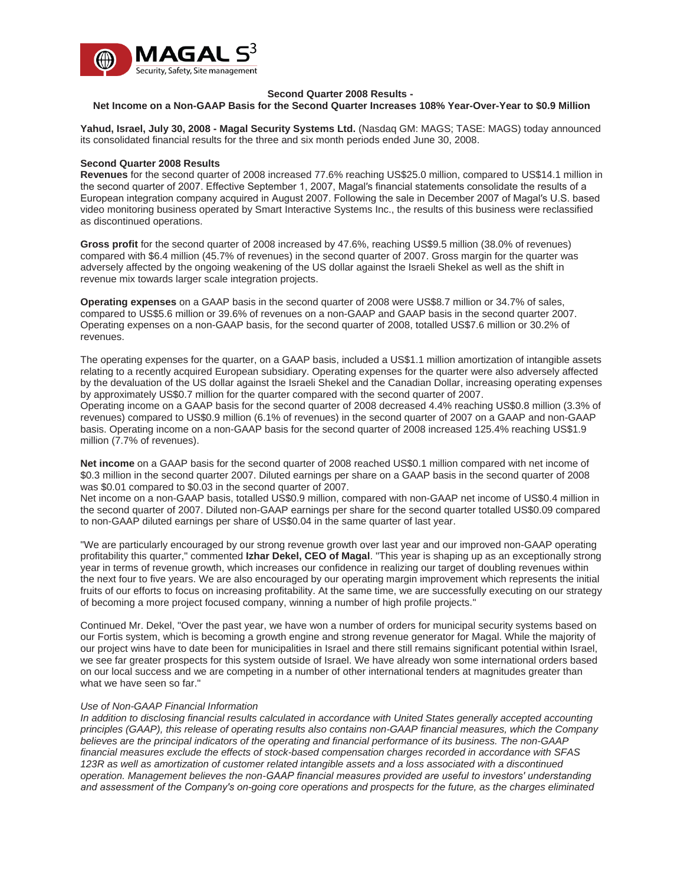

### **Second Quarter 2008 Results -**

**Net Income on a Non-GAAP Basis for the Second Quarter Increases 108% Year-Over-Year to \$0.9 Million**

**Yahud, Israel, July 30, 2008 - Magal Security Systems Ltd.** (Nasdaq GM: MAGS; TASE: MAGS) today announced its consolidated financial results for the three and six month periods ended June 30, 2008.

#### **Second Quarter 2008 Results**

**Revenues** for the second quarter of 2008 increased 77.6% reaching US\$25.0 million, compared to US\$14.1 million in the second quarter of 2007. Effective September 1, 2007, Magal′s financial statements consolidate the results of a European integration company acquired in August 2007. Following the sale in December 2007 of Magal′s U.S. based video monitoring business operated by Smart Interactive Systems Inc., the results of this business were reclassified as discontinued operations.

**Gross profit** for the second quarter of 2008 increased by 47.6%, reaching US\$9.5 million (38.0% of revenues) compared with \$6.4 million (45.7% of revenues) in the second quarter of 2007. Gross margin for the quarter was adversely affected by the ongoing weakening of the US dollar against the Israeli Shekel as well as the shift in revenue mix towards larger scale integration projects.

**Operating expenses** on a GAAP basis in the second quarter of 2008 were US\$8.7 million or 34.7% of sales, compared to US\$5.6 million or 39.6% of revenues on a non-GAAP and GAAP basis in the second quarter 2007. Operating expenses on a non-GAAP basis, for the second quarter of 2008, totalled US\$7.6 million or 30.2% of revenues.

The operating expenses for the quarter, on a GAAP basis, included a US\$1.1 million amortization of intangible assets relating to a recently acquired European subsidiary. Operating expenses for the quarter were also adversely affected by the devaluation of the US dollar against the Israeli Shekel and the Canadian Dollar, increasing operating expenses by approximately US\$0.7 million for the quarter compared with the second quarter of 2007.

Operating income on a GAAP basis for the second quarter of 2008 decreased 4.4% reaching US\$0.8 million (3.3% of revenues) compared to US\$0.9 million (6.1% of revenues) in the second quarter of 2007 on a GAAP and non-GAAP basis. Operating income on a non-GAAP basis for the second quarter of 2008 increased 125.4% reaching US\$1.9 million (7.7% of revenues).

**Net income** on a GAAP basis for the second quarter of 2008 reached US\$0.1 million compared with net income of \$0.3 million in the second quarter 2007. Diluted earnings per share on a GAAP basis in the second quarter of 2008 was \$0.01 compared to \$0.03 in the second quarter of 2007.

Net income on a non-GAAP basis, totalled US\$0.9 million, compared with non-GAAP net income of US\$0.4 million in the second quarter of 2007. Diluted non-GAAP earnings per share for the second quarter totalled US\$0.09 compared to non-GAAP diluted earnings per share of US\$0.04 in the same quarter of last year.

"We are particularly encouraged by our strong revenue growth over last year and our improved non-GAAP operating profitability this quarter," commented **Izhar Dekel, CEO of Magal**. "This year is shaping up as an exceptionally strong year in terms of revenue growth, which increases our confidence in realizing our target of doubling revenues within the next four to five years. We are also encouraged by our operating margin improvement which represents the initial fruits of our efforts to focus on increasing profitability. At the same time, we are successfully executing on our strategy of becoming a more project focused company, winning a number of high profile projects."

Continued Mr. Dekel, "Over the past year, we have won a number of orders for municipal security systems based on our Fortis system, which is becoming a growth engine and strong revenue generator for Magal. While the majority of our project wins have to date been for municipalities in Israel and there still remains significant potential within Israel, we see far greater prospects for this system outside of Israel. We have already won some international orders based on our local success and we are competing in a number of other international tenders at magnitudes greater than what we have seen so far."

#### *Use of Non-GAAP Financial Information*

*In addition to disclosing financial results calculated in accordance with United States generally accepted accounting principles (GAAP), this release of operating results also contains non-GAAP financial measures, which the Company believes are the principal indicators of the operating and financial performance of its business. The non-GAAP financial measures exclude the effects of stock-based compensation charges recorded in accordance with SFAS 123R as well as amortization of customer related intangible assets and a loss associated with a discontinued operation. Management believes the non-GAAP financial measures provided are useful to investors′ understanding and assessment of the Company′s on-going core operations and prospects for the future, as the charges eliminated*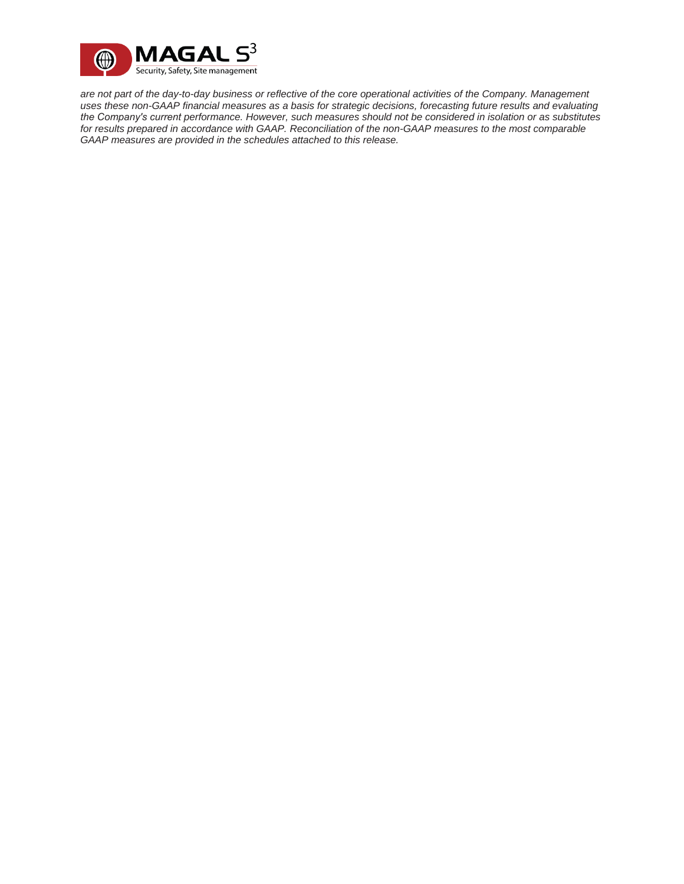

*are not part of the day-to-day business or reflective of the core operational activities of the Company. Management uses these non-GAAP financial measures as a basis for strategic decisions, forecasting future results and evaluating the Company′s current performance. However, such measures should not be considered in isolation or as substitutes for results prepared in accordance with GAAP. Reconciliation of the non-GAAP measures to the most comparable GAAP measures are provided in the schedules attached to this release.*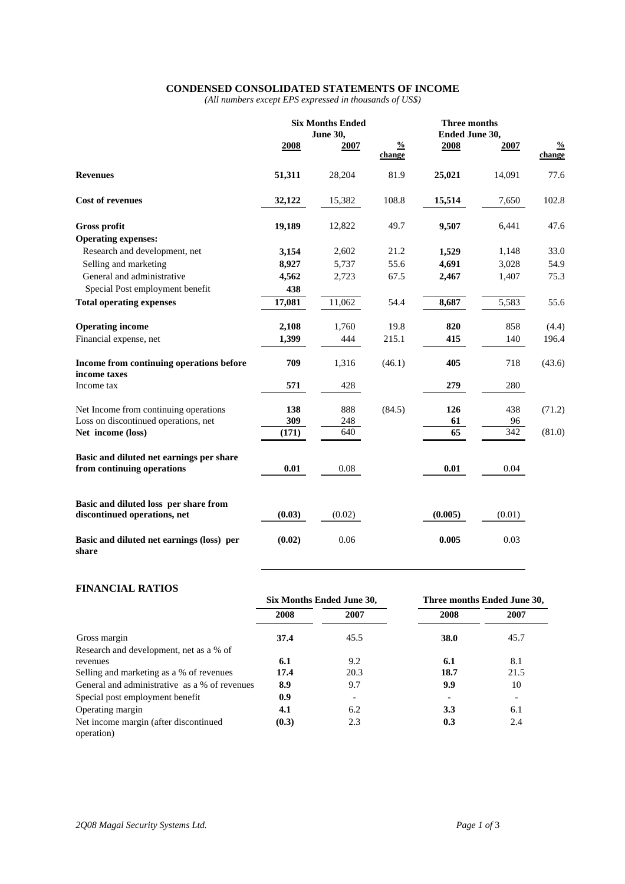### **CONDENSED CONSOLIDATED STATEMENTS OF INCOME**

*(All numbers except EPS expressed in thousands of US\$)* 

|                                                                        | <b>Six Months Ended</b><br><b>June 30,</b> |        | Three months<br>Ended June 30, |         |        |                         |
|------------------------------------------------------------------------|--------------------------------------------|--------|--------------------------------|---------|--------|-------------------------|
|                                                                        | 2008                                       | 2007   | $\frac{0}{0}$<br>change        | 2008    | 2007   | $\frac{0}{0}$<br>change |
| <b>Revenues</b>                                                        | 51,311                                     | 28,204 | 81.9                           | 25,021  | 14,091 | 77.6                    |
| <b>Cost of revenues</b>                                                | 32,122                                     | 15,382 | 108.8                          | 15,514  | 7,650  | 102.8                   |
| <b>Gross profit</b>                                                    | 19,189                                     | 12,822 | 49.7                           | 9,507   | 6,441  | 47.6                    |
| <b>Operating expenses:</b>                                             |                                            |        |                                |         |        |                         |
| Research and development, net                                          | 3,154                                      | 2,602  | 21.2                           | 1,529   | 1,148  | 33.0                    |
| Selling and marketing                                                  | 8,927                                      | 5,737  | 55.6                           | 4,691   | 3,028  | 54.9                    |
| General and administrative                                             | 4,562                                      | 2,723  | 67.5                           | 2,467   | 1,407  | 75.3                    |
| Special Post employment benefit                                        | 438                                        |        |                                |         |        |                         |
| <b>Total operating expenses</b>                                        | 17,081                                     | 11,062 | 54.4                           | 8,687   | 5,583  | 55.6                    |
| <b>Operating income</b>                                                | 2,108                                      | 1,760  | 19.8                           | 820     | 858    | (4.4)                   |
| Financial expense, net                                                 | 1,399                                      | 444    | 215.1                          | 415     | 140    | 196.4                   |
| Income from continuing operations before<br>income taxes               | 709                                        | 1,316  | (46.1)                         | 405     | 718    | (43.6)                  |
| Income tax                                                             | 571                                        | 428    |                                | 279     | 280    |                         |
| Net Income from continuing operations                                  | 138                                        | 888    | (84.5)                         | 126     | 438    | (71.2)                  |
| Loss on discontinued operations, net                                   | 309                                        | 248    |                                | 61      | 96     |                         |
| Net income (loss)                                                      | (171)                                      | 640    |                                | 65      | 342    | (81.0)                  |
| Basic and diluted net earnings per share<br>from continuing operations | 0.01                                       | 0.08   |                                | 0.01    | 0.04   |                         |
| Basic and diluted loss per share from<br>discontinued operations, net  | (0.03)                                     | (0.02) |                                | (0.005) | (0.01) |                         |
| Basic and diluted net earnings (loss) per<br>share                     | (0.02)                                     | 0.06   |                                | 0.005   | 0.03   |                         |

## **FINANCIAL RATIOS**

|                                                     | Six Months Ended June 30, |      | Three months Ended June 30, |      |  |
|-----------------------------------------------------|---------------------------|------|-----------------------------|------|--|
|                                                     | 2008                      | 2007 | 2008                        | 2007 |  |
| Gross margin                                        | 37.4                      | 45.5 | 38.0                        | 45.7 |  |
| Research and development, net as a % of             |                           |      |                             |      |  |
| revenues                                            | 6.1                       | 9.2  | 6.1                         | 8.1  |  |
| Selling and marketing as a % of revenues            | 17.4                      | 20.3 | 18.7                        | 21.5 |  |
| General and administrative as a % of revenues       | 8.9                       | 9.7  | 9.9                         | 10   |  |
| Special post employment benefit                     | 0.9                       |      |                             |      |  |
| Operating margin                                    | 4.1                       | 6.2  | 3.3                         | 6.1  |  |
| Net income margin (after discontinued<br>operation) | (0.3)                     | 2.3  | 0.3                         | 2.4  |  |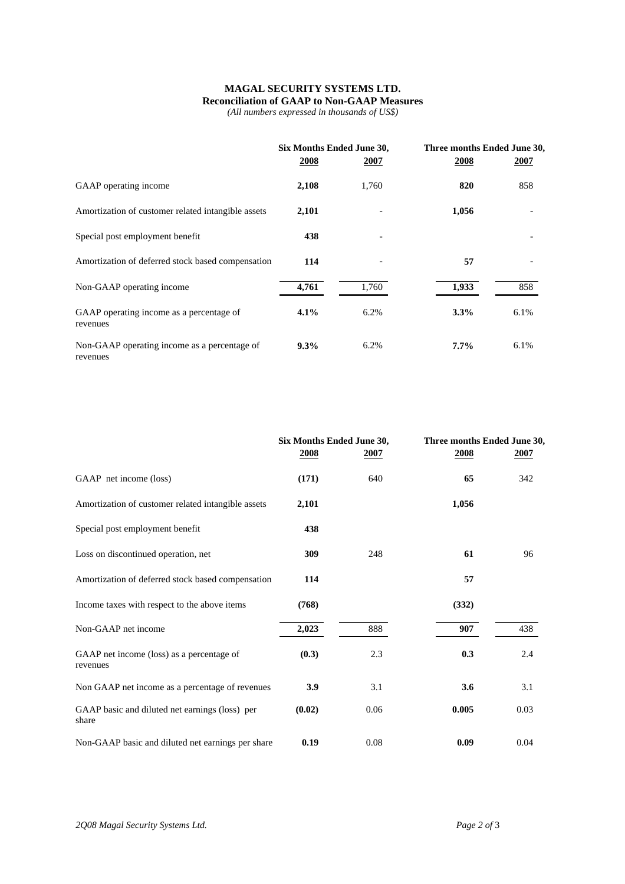# **MAGAL SECURITY SYSTEMS LTD. Reconciliation of GAAP to Non-GAAP Measures**

*(All numbers expressed in thousands of US\$)* 

|                                                          | Six Months Ended June 30, |       | Three months Ended June 30, |      |  |
|----------------------------------------------------------|---------------------------|-------|-----------------------------|------|--|
|                                                          | 2008                      | 2007  | 2008                        | 2007 |  |
| GAAP operating income                                    | 2,108                     | 1,760 | 820                         | 858  |  |
| Amortization of customer related intangible assets       | 2,101                     |       | 1,056                       |      |  |
| Special post employment benefit                          | 438                       |       |                             |      |  |
| Amortization of deferred stock based compensation        | 114                       |       | 57                          |      |  |
| Non-GAAP operating income                                | 4,761                     | 1,760 | 1,933                       | 858  |  |
| GAAP operating income as a percentage of<br>revenues     | $4.1\%$                   | 6.2%  | 3.3%                        | 6.1% |  |
| Non-GAAP operating income as a percentage of<br>revenues | $9.3\%$                   | 6.2%  | $7.7\%$                     | 6.1% |  |

|                                                         | Six Months Ended June 30,<br>2008 | 2007 | Three months Ended June 30,<br>2008 | 2007 |
|---------------------------------------------------------|-----------------------------------|------|-------------------------------------|------|
| GAAP net income (loss)                                  | (171)                             | 640  | 65                                  | 342  |
| Amortization of customer related intangible assets      | 2,101                             |      | 1,056                               |      |
| Special post employment benefit                         | 438                               |      |                                     |      |
| Loss on discontinued operation, net                     | 309                               | 248  | 61                                  | 96   |
| Amortization of deferred stock based compensation       | 114                               |      | 57                                  |      |
| Income taxes with respect to the above items            | (768)                             |      | (332)                               |      |
| Non-GAAP net income                                     | 2,023                             | 888  | 907                                 | 438  |
| GAAP net income (loss) as a percentage of<br>revenues   | (0.3)                             | 2.3  | 0.3                                 | 2.4  |
| Non GAAP net income as a percentage of revenues         | 3.9                               | 3.1  | 3.6                                 | 3.1  |
| GAAP basic and diluted net earnings (loss) per<br>share | (0.02)                            | 0.06 | 0.005                               | 0.03 |
| Non-GAAP basic and diluted net earnings per share       | 0.19                              | 0.08 | 0.09                                | 0.04 |